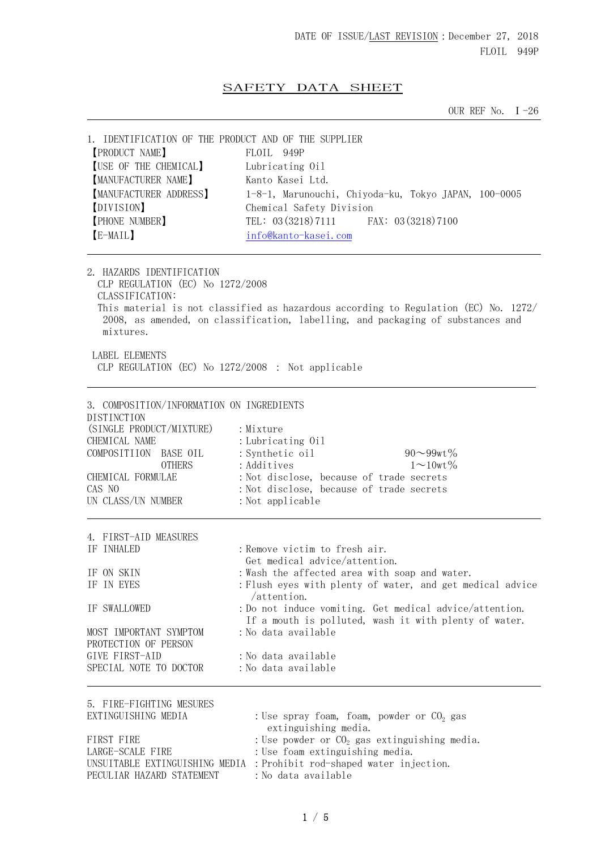# SAFETY DATA SHEET

OUR REF No.  $I - 26$ 

| 1. IDENTIFICATION OF THE PRODUCT AND OF THE SUPPLIER<br><b>[PRODUCT NAME]</b><br><b>[USE OF THE CHEMICAL]</b><br>MANUFACTURER NAME]<br><b>[MANUFACTURER ADDRESS]</b><br>[DIVISION]<br><b>[PHONE NUMBER]</b><br>[E-MAIL] | FLOIL 949P<br>Lubricating 0il<br>Kanto Kasei Ltd.<br>1-8-1, Marunouchi, Chiyoda-ku, Tokyo JAPAN, 100-0005<br>Chemical Safety Division<br>TEL: $03(3218)7111$<br>FAX: 03 (3218) 7100<br>info@kanto-kasei.com                                                                                                                                                                         |
|-------------------------------------------------------------------------------------------------------------------------------------------------------------------------------------------------------------------------|-------------------------------------------------------------------------------------------------------------------------------------------------------------------------------------------------------------------------------------------------------------------------------------------------------------------------------------------------------------------------------------|
| 2. HAZARDS IDENTIFICATION<br>CLP REGULATION (EC) No 1272/2008<br>CLASSIFICATION:<br>mixtures.<br><b>LABEL ELEMENTS</b><br>CLP REGULATION (EC) No 1272/2008 : Not applicable                                             | This material is not classified as hazardous according to Regulation (EC) No. 1272/<br>2008, as amended, on classification, labelling, and packaging of substances and                                                                                                                                                                                                              |
| 3. COMPOSITION/INFORMATION ON INGREDIENTS<br>DISTINCTION<br>(SINGLE PRODUCT/MIXTURE)<br>CHEMICAL NAME<br>COMPOSITIION<br>BASE OIL<br><b>OTHERS</b><br>CHEMICAL FORMULAE<br>CAS NO<br>UN CLASS/UN NUMBER                 | : Mixture<br>: Lubricating 0il<br>$90 - 99$ wt%<br>: Synthetic oil<br>$1 \sim 10$ wt $\%$<br>: Additives<br>: Not disclose, because of trade secrets<br>: Not disclose, because of trade secrets<br>: Not applicable                                                                                                                                                                |
| 4. FIRST-AID MEASURES<br>IF INHALED<br>IF ON SKIN<br>IF IN EYES<br>IF SWALLOWED<br>MOST IMPORTANT SYMPTOM<br>PROTECTION OF PERSON<br>GIVE FIRST-AID<br>SPECIAL NOTE TO DOCTOR                                           | : Remove victim to fresh air.<br>Get medical advice/attention.<br>: Wash the affected area with soap and water.<br>: Flush eyes with plenty of water, and get medical advice<br>/attention.<br>: Do not induce vomiting. Get medical advice/attention.<br>If a mouth is polluted, wash it with plenty of water.<br>:No data available<br>: No data available<br>: No data available |
| 5. FIRE-FIGHTING MESURES<br>EXTINGUISHING MEDIA<br>FIRST FIRE<br>LARGE-SCALE FIRE<br>PECULIAR HAZARD STATEMENT                                                                                                          | : Use spray foam, foam, powder or $CO2$ gas<br>extinguishing media.<br>: Use powder or $CO2$ gas extinguishing media.<br>: Use foam extinguishing media.<br>UNSUITABLE EXTINGUISHING MEDIA : Prohibit rod-shaped water injection.<br>: No data available                                                                                                                            |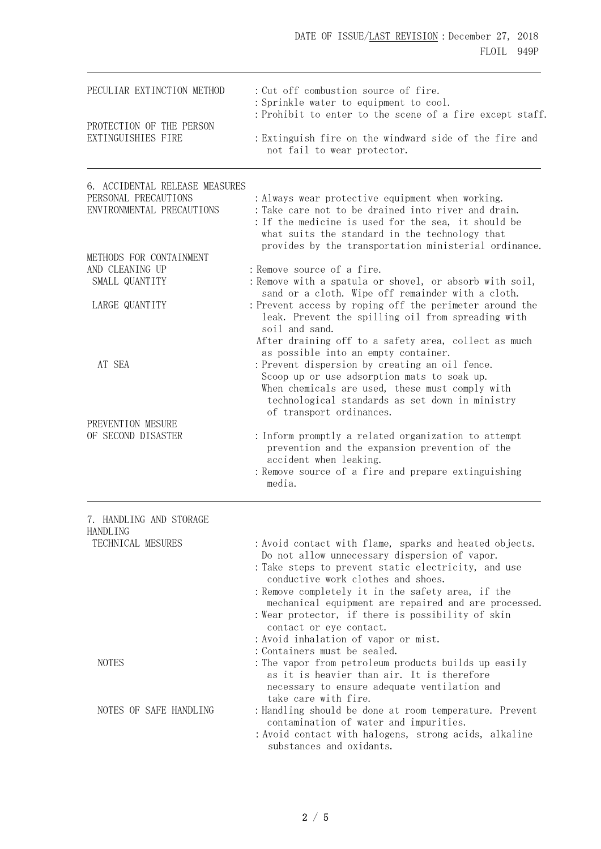| PECULIAR EXTINCTION METHOD                             | : Cut off combustion source of fire.<br>: Sprinkle water to equipment to cool.                                                                                                                                                                                            |  |  |  |
|--------------------------------------------------------|---------------------------------------------------------------------------------------------------------------------------------------------------------------------------------------------------------------------------------------------------------------------------|--|--|--|
| PROTECTION OF THE PERSON<br>EXTINGUISHIES FIRE         | : Prohibit to enter to the scene of a fire except staff.<br>: Extinguish fire on the windward side of the fire and<br>not fail to wear protector.                                                                                                                         |  |  |  |
| 6. ACCIDENTAL RELEASE MEASURES<br>PERSONAL PRECAUTIONS |                                                                                                                                                                                                                                                                           |  |  |  |
| ENVIRONMENTAL PRECAUTIONS                              | : Always wear protective equipment when working.<br>: Take care not to be drained into river and drain.<br>: If the medicine is used for the sea, it should be<br>what suits the standard in the technology that<br>provides by the transportation ministerial ordinance. |  |  |  |
| METHODS FOR CONTAINMENT                                |                                                                                                                                                                                                                                                                           |  |  |  |
| AND CLEANING UP                                        | : Remove source of a fire.                                                                                                                                                                                                                                                |  |  |  |
| SMALL QUANTITY                                         | : Remove with a spatula or shovel, or absorb with soil,<br>sand or a cloth. Wipe off remainder with a cloth.                                                                                                                                                              |  |  |  |
| LARGE QUANTITY                                         | : Prevent access by roping off the perimeter around the<br>leak. Prevent the spilling oil from spreading with<br>soil and sand.<br>After draining off to a safety area, collect as much                                                                                   |  |  |  |
|                                                        | as possible into an empty container.                                                                                                                                                                                                                                      |  |  |  |
| AT SEA                                                 | : Prevent dispersion by creating an oil fence.                                                                                                                                                                                                                            |  |  |  |
|                                                        | Scoop up or use adsorption mats to soak up.<br>When chemicals are used, these must comply with<br>technological standards as set down in ministry<br>of transport ordinances.                                                                                             |  |  |  |
| PREVENTION MESURE                                      |                                                                                                                                                                                                                                                                           |  |  |  |
| OF SECOND DISASTER                                     | : Inform promptly a related organization to attempt<br>prevention and the expansion prevention of the<br>accident when leaking.<br>: Remove source of a fire and prepare extinguishing<br>media.                                                                          |  |  |  |
| 7. HANDLING AND STORAGE                                |                                                                                                                                                                                                                                                                           |  |  |  |
| <b>HANDLING</b>                                        |                                                                                                                                                                                                                                                                           |  |  |  |
| TECHNICAL MESURES                                      | : Avoid contact with flame, sparks and heated objects.<br>Do not allow unnecessary dispersion of vapor.<br>: Take steps to prevent static electricity, and use<br>conductive work clothes and shoes.                                                                      |  |  |  |
|                                                        | : Remove completely it in the safety area, if the<br>mechanical equipment are repaired and are processed.                                                                                                                                                                 |  |  |  |
|                                                        | : Wear protector, if there is possibility of skin<br>contact or eye contact.                                                                                                                                                                                              |  |  |  |
|                                                        | : Avoid inhalation of vapor or mist.                                                                                                                                                                                                                                      |  |  |  |
| <b>NOTES</b>                                           | : Containers must be sealed.<br>: The vapor from petroleum products builds up easily<br>as it is heavier than air. It is therefore<br>necessary to ensure adequate ventilation and<br>take care with fire.                                                                |  |  |  |
| NOTES OF SAFE HANDLING                                 | : Handling should be done at room temperature. Prevent<br>contamination of water and impurities.<br>: Avoid contact with halogens, strong acids, alkaline                                                                                                                 |  |  |  |
|                                                        | substances and oxidants.                                                                                                                                                                                                                                                  |  |  |  |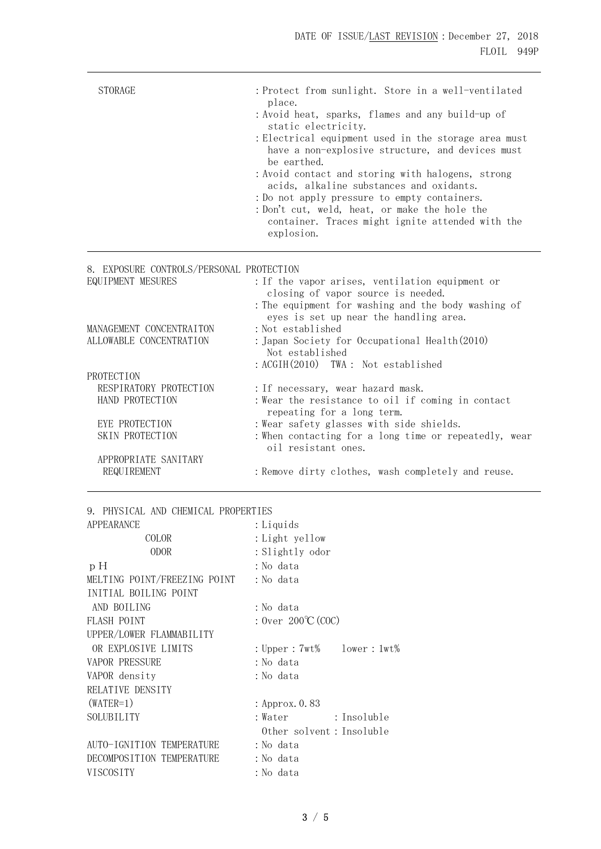| <b>STORAGE</b>                                                                               | : Protect from sunlight. Store in a well-ventilated<br>place.<br>: Avoid heat, sparks, flames and any build-up of<br>static electricity.<br>: Electrical equipment used in the storage area must<br>have a non-explosive structure, and devices must<br>be earthed.<br>: Avoid contact and storing with halogens, strong<br>acids, alkaline substances and oxidants.<br>: Do not apply pressure to empty containers.<br>: Don't cut, weld, heat, or make the hole the<br>container. Traces might ignite attended with the<br>explosion. |  |
|----------------------------------------------------------------------------------------------|-----------------------------------------------------------------------------------------------------------------------------------------------------------------------------------------------------------------------------------------------------------------------------------------------------------------------------------------------------------------------------------------------------------------------------------------------------------------------------------------------------------------------------------------|--|
| 8. EXPOSURE CONTROLS/PERSONAL PROTECTION<br>EQUIPMENT MESURES                                | : If the vapor arises, ventilation equipment or<br>closing of vapor source is needed.                                                                                                                                                                                                                                                                                                                                                                                                                                                   |  |
| MANAGEMENT CONCENTRAITON<br>ALLOWABLE CONCENTRATION                                          | : The equipment for washing and the body washing of<br>eyes is set up near the handling area.<br>: Not established<br>: Japan Society for Occupational Health (2010)<br>Not established                                                                                                                                                                                                                                                                                                                                                 |  |
| PROTECTION<br>RESPIRATORY PROTECTION<br>HAND PROTECTION<br>EYE PROTECTION<br>SKIN PROTECTION | : ACGIH(2010) TWA: Not established<br>: If necessary, wear hazard mask.<br>: Wear the resistance to oil if coming in contact<br>repeating for a long term.<br>: Wear safety glasses with side shields.<br>: When contacting for a long time or repeatedly, wear                                                                                                                                                                                                                                                                         |  |
| APPROPRIATE SANITARY<br>REQUIREMENT                                                          | oil resistant ones.<br>: Remove dirty clothes, wash completely and reuse.                                                                                                                                                                                                                                                                                                                                                                                                                                                               |  |
| 9. PHYSICAL AND CHEMICAL PROPERTIES                                                          |                                                                                                                                                                                                                                                                                                                                                                                                                                                                                                                                         |  |
| APPEARANCE                                                                                   | : Liquids                                                                                                                                                                                                                                                                                                                                                                                                                                                                                                                               |  |
| COLOR                                                                                        | : Light yellow                                                                                                                                                                                                                                                                                                                                                                                                                                                                                                                          |  |
| <b>ODOR</b>                                                                                  | : Slightly odor                                                                                                                                                                                                                                                                                                                                                                                                                                                                                                                         |  |
| p H                                                                                          | : No data                                                                                                                                                                                                                                                                                                                                                                                                                                                                                                                               |  |
| MELTING POINT/FREEZING POINT                                                                 | : No data                                                                                                                                                                                                                                                                                                                                                                                                                                                                                                                               |  |
| INITIAL BOILING POINT                                                                        |                                                                                                                                                                                                                                                                                                                                                                                                                                                                                                                                         |  |
| AND BOILING                                                                                  | : No data                                                                                                                                                                                                                                                                                                                                                                                                                                                                                                                               |  |
| FLASH POINT                                                                                  | : Over $200^{\circ}C(COC)$                                                                                                                                                                                                                                                                                                                                                                                                                                                                                                              |  |
| UPPER/LOWER FLAMMABILITY                                                                     |                                                                                                                                                                                                                                                                                                                                                                                                                                                                                                                                         |  |
| OR EXPLOSIVE LIMITS                                                                          | : $Upper: 7wt%$<br>lower:1wt%                                                                                                                                                                                                                                                                                                                                                                                                                                                                                                           |  |
| <b>VAPOR PRESSURE</b>                                                                        | : No data                                                                                                                                                                                                                                                                                                                                                                                                                                                                                                                               |  |
| VAPOR density                                                                                | : No data                                                                                                                                                                                                                                                                                                                                                                                                                                                                                                                               |  |
| RELATIVE DENSITY                                                                             |                                                                                                                                                                                                                                                                                                                                                                                                                                                                                                                                         |  |
| $(WATER=1)$                                                                                  | : Approx. 0.83                                                                                                                                                                                                                                                                                                                                                                                                                                                                                                                          |  |
| SOLUBILITY                                                                                   | : Water<br>: Insoluble                                                                                                                                                                                                                                                                                                                                                                                                                                                                                                                  |  |

Other solvent:Insoluble

AUTO-IGNITION TEMPERATURE : No data DECOMPOSITION TEMPERATURE : No data

VISCOSITY :No data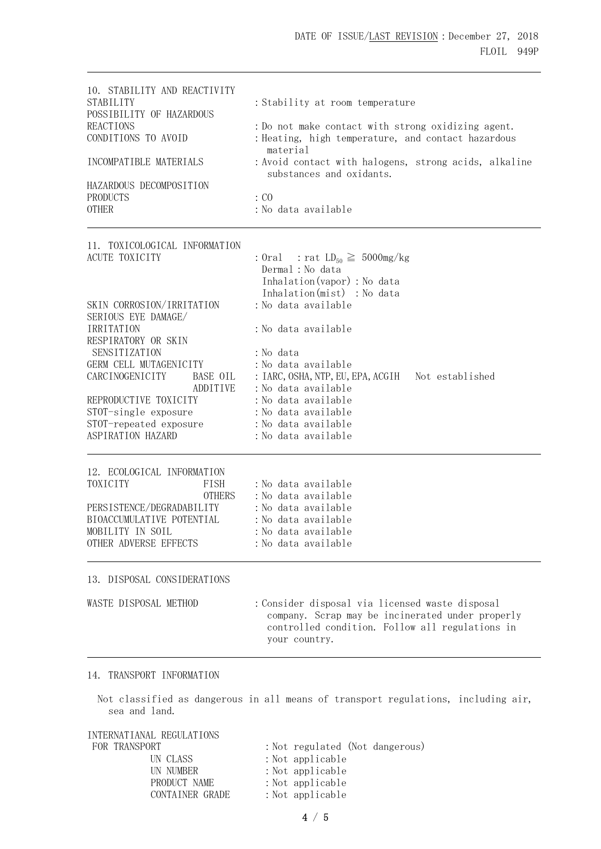| 10. STABILITY AND REACTIVITY<br><b>STABILITY</b><br>POSSIBILITY OF HAZARDOUS | : Stability at room temperature                                                   |
|------------------------------------------------------------------------------|-----------------------------------------------------------------------------------|
| <b>REACTIONS</b>                                                             | : Do not make contact with strong oxidizing agent.                                |
|                                                                              |                                                                                   |
| CONDITIONS TO AVOID                                                          | : Heating, high temperature, and contact hazardous<br>material                    |
| INCOMPATIBLE MATERIALS                                                       | : Avoid contact with halogens, strong acids, alkaline<br>substances and oxidants. |
| HAZARDOUS DECOMPOSITION                                                      |                                                                                   |
| <b>PRODUCTS</b>                                                              | $\cdot$ CO                                                                        |
| <b>OTHER</b>                                                                 | :No data available                                                                |
|                                                                              |                                                                                   |

11. TOXICOLOGICAL INFORMATION ACUTE TOXICITY : Oral : rat  $LD_{50} \ge 5000$ mg/kg

|                           |          | Inhalation (vapor) : No data<br>Inhalation(mist) : No data |  |
|---------------------------|----------|------------------------------------------------------------|--|
| SKIN CORROSION/IRRITATION |          | : No data available                                        |  |
| SERIOUS EYE DAMAGE/       |          |                                                            |  |
| <b>IRRITATION</b>         |          | :No data available                                         |  |
| RESPIRATORY OR SKIN       |          |                                                            |  |
| SENSITIZATION             |          | : No data                                                  |  |
| GERM CELL MUTAGENICITY    |          | :No data available                                         |  |
| CARCINOGENICITY           | BASE OIL | : IARC, OSHA, NTP, EU, EPA, ACGIH Not established          |  |
|                           | ADDITIVE | : No data available                                        |  |
| REPRODUCTIVE TOXICITY     |          | :No data available                                         |  |
| STOT-single exposure      |          | :No data available                                         |  |
| STOT-repeated exposure    |          | :No data available                                         |  |
| ASPIRATION HAZARD         |          | :No data available                                         |  |
|                           |          |                                                            |  |

Dermal:No data

12. ECOLOGICAL INFORMATION TOXICITY FISH : No data available OTHERS :No data available PERSISTENCE/DEGRADABILITY : No data available BIOACCUMULATIVE POTENTIAL : No data available MOBILITY IN SOIL : No data available OTHER ADVERSE EFFECTS : No data available

#### 13. DISPOSAL CONSIDERATIONS

| WASTE DISPOSAL METHOD | : Consider disposal via licensed waste disposal                                                                      |
|-----------------------|----------------------------------------------------------------------------------------------------------------------|
|                       | company. Scrap may be incinerated under properly<br>controlled condition. Follow all regulations in<br>your country. |

#### 14. TRANSPORT INFORMATION

Not classified as dangerous in all means of transport regulations, including air, sea and land.

| INTERNATIANAL REGULATIONS |                                 |
|---------------------------|---------------------------------|
| FOR TRANSPORT             | : Not regulated (Not dangerous) |
| UN CLASS                  | $:$ Not applicable              |
| UN NUMBER                 | $:$ Not applicable              |
| PRODUCT NAME              | $:$ Not applicable              |
| CONTAINER GRADE           | $:$ Not applicable              |